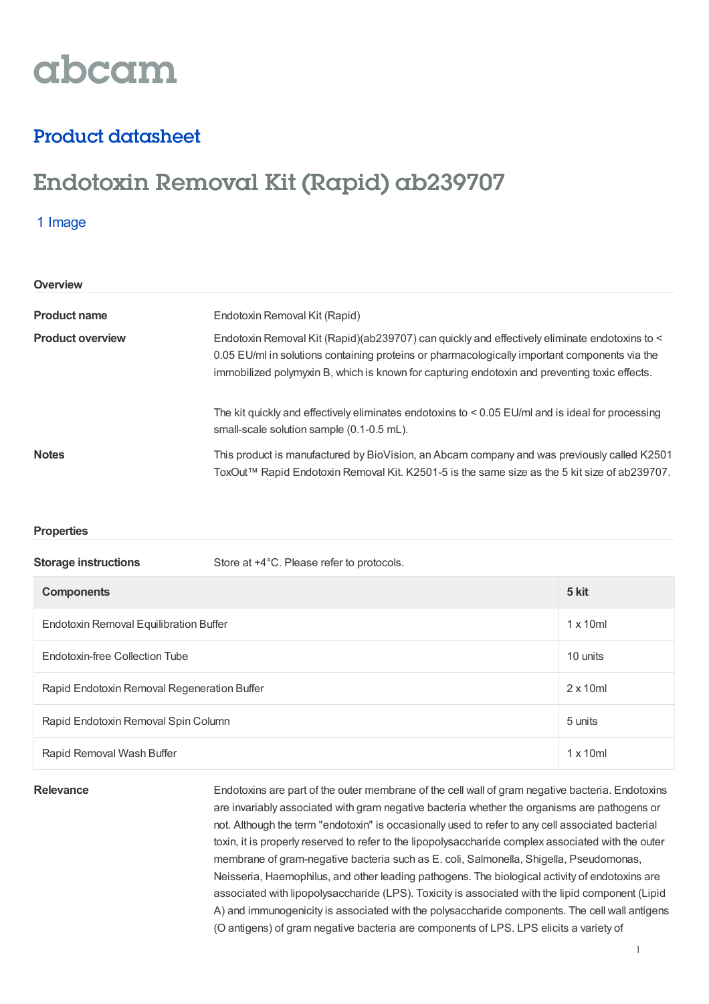# abcam

## Product datasheet

## Endotoxin Removal Kit (Rapid) ab239707

## 1 Image

| Overview                |                                                                                                                                                                                                                                                                                                 |
|-------------------------|-------------------------------------------------------------------------------------------------------------------------------------------------------------------------------------------------------------------------------------------------------------------------------------------------|
| <b>Product name</b>     | Endotoxin Removal Kit (Rapid)                                                                                                                                                                                                                                                                   |
| <b>Product overview</b> | Endotoxin Removal Kit (Rapid)(ab239707) can quickly and effectively eliminate endotoxins to <<br>0.05 EU/ml in solutions containing proteins or pharmacologically important components via the<br>immobilized polymyxin B, which is known for capturing endotoxin and preventing toxic effects. |
|                         | The kit quickly and effectively eliminates endotoxins to $< 0.05$ EU/ml and is ideal for processing<br>small-scale solution sample (0.1-0.5 mL).                                                                                                                                                |
| <b>Notes</b>            | This product is manufactured by BioVision, an Abcam company and was previously called K2501<br>ToxOut™ Rapid Endotoxin Removal Kit. K2501-5 is the same size as the 5 kit size of ab239707.                                                                                                     |

## **Properties**

| <b>Storage instructions</b>                 | Store at +4°C. Please refer to protocols. |                  |
|---------------------------------------------|-------------------------------------------|------------------|
| <b>Components</b>                           |                                           | 5 kit            |
| Endotoxin Removal Equilibration Buffer      |                                           | $1 \times 10$ ml |
| Endotoxin-free Collection Tube              |                                           | 10 units         |
| Rapid Endotoxin Removal Regeneration Buffer |                                           | $2 \times 10$ ml |
| Rapid Endotoxin Removal Spin Column         |                                           | 5 units          |
| Rapid Removal Wash Buffer                   |                                           | $1 \times 10$ ml |

Relevance Endotoxins are part of the outer membrane of the cell wall of gram negative bacteria. Endotoxins are invariably associated with gram negative bacteria whether the organisms are pathogens or not. Although the term "endotoxin" is occasionally used to refer to any cell associated bacterial toxin, it is properly reserved to refer to the lipopolysaccharide complex associated with the outer membrane of gram-negative bacteria such as E. coli, Salmonella, Shigella, Pseudomonas, Neisseria, Haemophilus, and other leading pathogens. The biological activity of endotoxins are associated with lipopolysaccharide (LPS). Toxicity is associated with the lipid component (Lipid A) and immunogenicity is associated with the polysaccharide components. The cell wall antigens (O antigens) of gram negative bacteria are components of LPS. LPS elicits a variety of